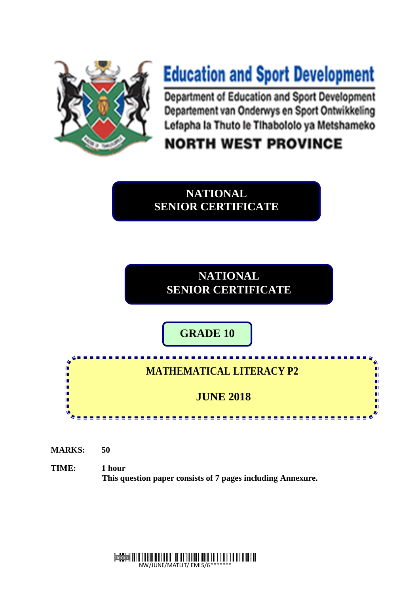

# **Education and Sport Development**

Department of Education and Sport Development Departement van Onderwys en Sport Ontwikkeling Lefapha la Thuto le Tihabololo ya Metshameko

## **NORTH WEST PROVINCE**

**NATIONAL SENIOR CERTIFICATE**

> **NATIONAL SENIOR CERTIFICATE**

**GRADE 10**

### **MATHEMATICAL LITERACY P2**

<u>. . . . . . . . . .</u>

n

### **JUNE 2018**

**MARKS: 50**

I.  $\mathbf{u}$ 

ú. m ú 'n

**TIME: 1 hour This question paper consists of 7 pages including Annexure.**

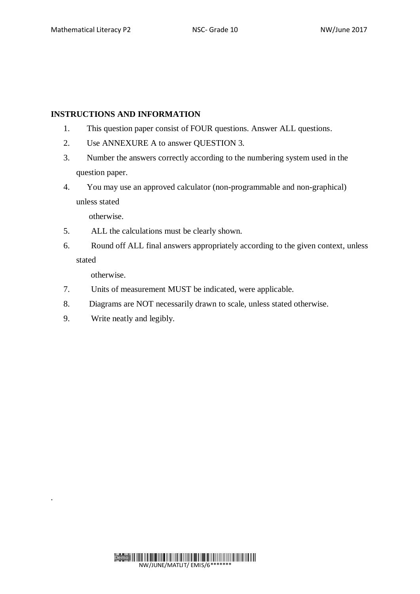#### **INSTRUCTIONS AND INFORMATION**

- 1. This question paper consist of FOUR questions. Answer ALL questions.
- 2. Use ANNEXURE A to answer QUESTION 3.
- 3. Number the answers correctly according to the numbering system used in the question paper.
- 4. You may use an approved calculator (non-programmable and non-graphical) unless stated

otherwise.

- 5. ALL the calculations must be clearly shown.
- 6. Round off ALL final answers appropriately according to the given context, unless stated

otherwise.

.

- 7. Units of measurement MUST be indicated, were applicable.
- 8. Diagrams are NOT necessarily drawn to scale, unless stated otherwise.
- 9. Write neatly and legibly.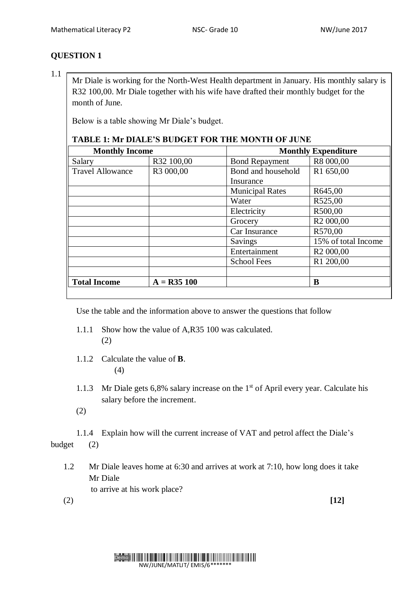1.1

Mr Diale is working for the North-West Health department in January. His monthly salary is R32 100,00. Mr Diale together with his wife have drafted their monthly budget for the month of June.

Below is a table showing Mr Diale's budget.

#### **TABLE 1: Mr DIALE'S BUDGET FOR THE MONTH OF JUNE**

| <b>Monthly Income</b>   |               | <b>Monthly Expenditure</b> |                       |
|-------------------------|---------------|----------------------------|-----------------------|
| Salary                  | R32 100,00    | <b>Bond Repayment</b>      | R8 000,00             |
| <b>Travel Allowance</b> | R3 000,00     | Bond and household         | R1 650,00             |
|                         |               | Insurance                  |                       |
|                         |               | <b>Municipal Rates</b>     | R645,00               |
|                         |               | Water                      | R525,00               |
|                         |               | Electricity                | R500,00               |
|                         |               | Grocery                    | R <sub>2</sub> 000,00 |
|                         |               | Car Insurance              | R570,00               |
|                         |               | Savings                    | 15% of total Income   |
|                         |               | Entertainment              | R <sub>2</sub> 000,00 |
|                         |               | <b>School Fees</b>         | R1 200,00             |
|                         |               |                            |                       |
| <b>Total Income</b>     | $A = R35 100$ |                            | B                     |
|                         |               |                            |                       |

Use the table and the information above to answer the questions that follow

- 1.1.1 Show how the value of A,R35 100 was calculated. (2)
- 1.1.2 Calculate the value of **B**. (4)
- 1.1.3 Mr Diale gets  $6,8\%$  salary increase on the 1<sup>st</sup> of April every year. Calculate his salary before the increment.
- (2)

1.1.4 Explain how will the current increase of VAT and petrol affect the Diale's budget (2)

1.2 Mr Diale leaves home at 6:30 and arrives at work at 7:10, how long does it take Mr Diale to arrive at his work place?

(2) **[12]**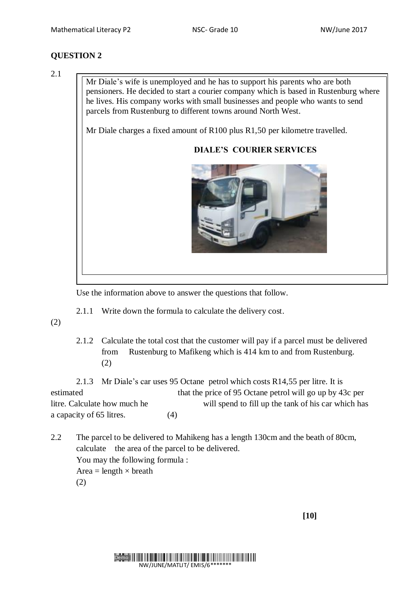2.1

Mr Diale's wife is unemployed and he has to support his parents who are both pensioners. He decided to start a courier company which is based in Rustenburg where he lives. His company works with small businesses and people who wants to send parcels from Rustenburg to different towns around North West.

Mr Diale charges a fixed amount of R100 plus R1,50 per kilometre travelled.

#### **DIALE'S COURIER SERVICES**



Use the information above to answer the questions that follow.

2.1.1 Write down the formula to calculate the delivery cost.

(2)

2.1.2 Calculate the total cost that the customer will pay if a parcel must be delivered from Rustenburg to Mafikeng which is 414 km to and from Rustenburg. (2)

2.1.3 Mr Diale's car uses 95 Octane petrol which costs R14,55 per litre. It is estimated that the price of 95 Octane petrol will go up by 43c per litre. Calculate how much he will spend to fill up the tank of his car which has a capacity of 65 litres. (4)

2.2 The parcel to be delivered to Mahikeng has a length 130cm and the beath of 80cm, calculate the area of the parcel to be delivered. You may the following formula : Area = length  $\times$  breath (2)

 **[10]**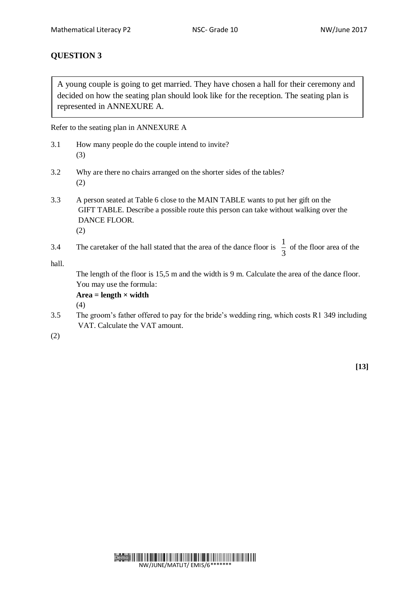A young couple is going to get married. They have chosen a hall for their ceremony and decided on how the seating plan should look like for the reception. The seating plan is represented in ANNEXURE A.

Refer to the seating plan in ANNEXURE A

- 3.1 How many people do the couple intend to invite? (3)
- 3.2 Why are there no chairs arranged on the shorter sides of the tables? (2)
- 3.3 A person seated at Table 6 close to the MAIN TABLE wants to put her gift on the GIFT TABLE. Describe a possible route this person can take without walking over the DANCE FLOOR. (2)
- 3.4 The caretaker of the hall stated that the area of the dance floor is 3  $\frac{1}{2}$  of the floor area of the

hall.

The length of the floor is 15,5 m and the width is 9 m. Calculate the area of the dance floor. You may use the formula:

 $Area = length \times width$ 

(4)

3.5 The groom's father offered to pay for the bride's wedding ring, which costs R1 349 including VAT. Calculate the VAT amount.

(2)

**[13]**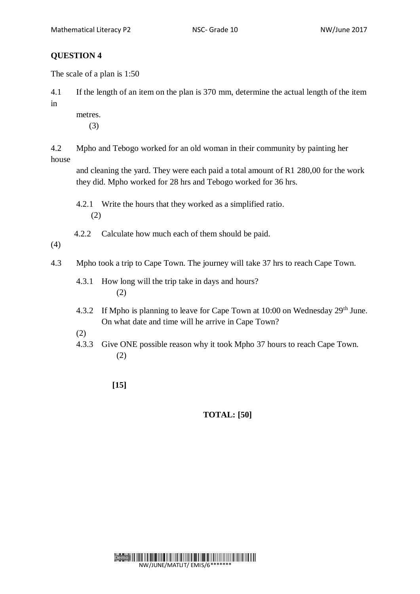The scale of a plan is 1:50

4.1 If the length of an item on the plan is 370 mm, determine the actual length of the item in

- metres.
	- (3)

4.2 Mpho and Tebogo worked for an old woman in their community by painting her house

 and cleaning the yard. They were each paid a total amount of R1 280,00 for the work they did. Mpho worked for 28 hrs and Tebogo worked for 36 hrs.

4.2.1 Write the hours that they worked as a simplified ratio. (2)

4.2.2 Calculate how much each of them should be paid.

(4)

- 4.3 Mpho took a trip to Cape Town. The journey will take 37 hrs to reach Cape Town.
	- 4.3.1 How long will the trip take in days and hours? (2)
	- 4.3.2 If Mpho is planning to leave for Cape Town at 10:00 on Wednesday 29<sup>th</sup> June. On what date and time will he arrive in Cape Town?
	- (2)
	- 4.3.3 Give ONE possible reason why it took Mpho 37 hours to reach Cape Town. (2)
		- **[15]**

#### **TOTAL: [50]**